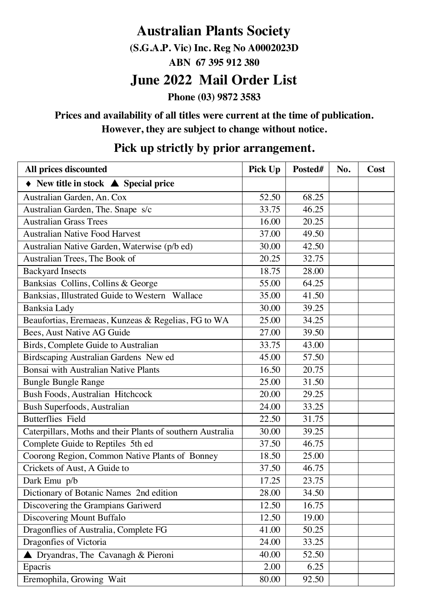# **Australian Plants Society**

**(S.G.A.P. Vic) Inc. Reg No A0002023D**

**ABN 67 395 912 380**

## **June 2022 Mail Order List**

**Phone (03) 9872 3583**

### **Prices and availability of all titles were current at the time of publication. However, they are subject to change without notice.**

| All prices discounted                                             | Pick Up | Posted# | No. | Cost |
|-------------------------------------------------------------------|---------|---------|-----|------|
| $\blacklozenge$ New title in stock $\blacktriangle$ Special price |         |         |     |      |
| Australian Garden, An. Cox                                        | 52.50   | 68.25   |     |      |
| Australian Garden, The. Snape s/c                                 | 33.75   | 46.25   |     |      |
| <b>Australian Grass Trees</b>                                     | 16.00   | 20.25   |     |      |
| <b>Australian Native Food Harvest</b>                             | 37.00   | 49.50   |     |      |
| Australian Native Garden, Waterwise (p/b ed)                      | 30.00   | 42.50   |     |      |
| Australian Trees, The Book of                                     | 20.25   | 32.75   |     |      |
| <b>Backyard Insects</b>                                           | 18.75   | 28.00   |     |      |
| Banksias Collins, Collins & George                                | 55.00   | 64.25   |     |      |
| Banksias, Illustrated Guide to Western Wallace                    | 35.00   | 41.50   |     |      |
| Banksia Lady                                                      | 30.00   | 39.25   |     |      |
| Beaufortias, Eremaeas, Kunzeas & Regelias, FG to WA               | 25.00   | 34.25   |     |      |
| Bees, Aust Native AG Guide                                        | 27.00   | 39.50   |     |      |
| Birds, Complete Guide to Australian                               | 33.75   | 43.00   |     |      |
| Birdscaping Australian Gardens New ed                             | 45.00   | 57.50   |     |      |
| Bonsai with Australian Native Plants                              | 16.50   | 20.75   |     |      |
| Bungle Bungle Range                                               | 25.00   | 31.50   |     |      |
| <b>Bush Foods, Australian Hitchcock</b>                           | 20.00   | 29.25   |     |      |
| Bush Superfoods, Australian                                       | 24.00   | 33.25   |     |      |
| <b>Butterflies</b> Field                                          | 22.50   | 31.75   |     |      |
| Caterpillars, Moths and their Plants of southern Australia        | 30.00   | 39.25   |     |      |
| Complete Guide to Reptiles 5th ed                                 | 37.50   | 46.75   |     |      |
| Coorong Region, Common Native Plants of Bonney                    | 18.50   | 25.00   |     |      |
| Crickets of Aust, A Guide to                                      | 37.50   | 46.75   |     |      |
| Dark Emu p/b                                                      | 17.25   | 23.75   |     |      |
| Dictionary of Botanic Names 2nd edition                           | 28.00   | 34.50   |     |      |
| Discovering the Grampians Gariwerd                                | 12.50   | 16.75   |     |      |
| Discovering Mount Buffalo                                         | 12.50   | 19.00   |     |      |
| Dragonflies of Australia, Complete FG                             | 41.00   | 50.25   |     |      |
| Dragonfies of Victoria                                            | 24.00   | 33.25   |     |      |
| ▲ Dryandras, The Cavanagh & Pieroni                               | 40.00   | 52.50   |     |      |
| Epacris                                                           | 2.00    | 6.25    |     |      |
| Eremophila, Growing Wait                                          | 80.00   | 92.50   |     |      |

### **Pick up strictly by prior arrangement.**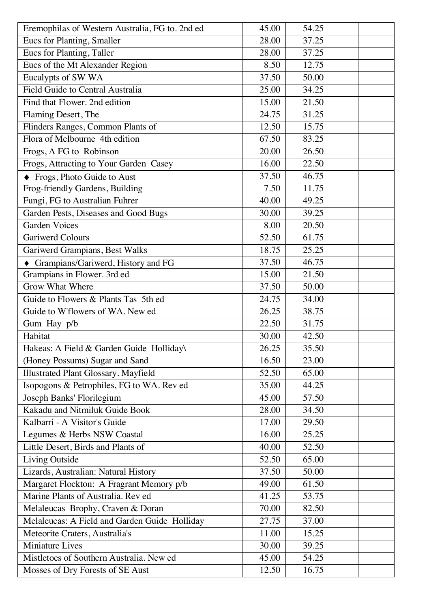| Eremophilas of Western Australia, FG to. 2nd ed | 45.00 | 54.25              |  |
|-------------------------------------------------|-------|--------------------|--|
| Eucs for Planting, Smaller                      | 28.00 | 37.25              |  |
| Eucs for Planting, Taller                       | 28.00 | 37.25              |  |
| Eucs of the Mt Alexander Region                 | 8.50  | 12.75              |  |
| Eucalypts of SW WA                              | 37.50 | 50.00              |  |
| Field Guide to Central Australia                | 25.00 | 34.25              |  |
| Find that Flower. 2nd edition                   | 15.00 | 21.50              |  |
| Flaming Desert, The                             | 24.75 | 31.25              |  |
| Flinders Ranges, Common Plants of               | 12.50 | 15.75              |  |
| Flora of Melbourne 4th edition                  | 67.50 | 83.25              |  |
| Frogs, A FG to Robinson                         | 20.00 | 26.50              |  |
| Frogs, Attracting to Your Garden Casey          | 16.00 | 22.50              |  |
| ◆ Frogs, Photo Guide to Aust                    | 37.50 | 46.75              |  |
| Frog-friendly Gardens, Building                 | 7.50  | 11.75              |  |
| Fungi, FG to Australian Fuhrer                  | 40.00 | 49.25              |  |
| Garden Pests, Diseases and Good Bugs            | 30.00 | 39.25              |  |
| <b>Garden Voices</b>                            | 8.00  | 20.50              |  |
| Gariwerd Colours                                | 52.50 | 61.75              |  |
| Gariwerd Grampians, Best Walks                  | 18.75 | 25.25              |  |
| • Grampians/Gariwerd, History and FG            | 37.50 | 46.75              |  |
| Grampians in Flower. 3rd ed                     | 15.00 | 21.50              |  |
| <b>Grow What Where</b>                          | 37.50 | 50.00              |  |
| Guide to Flowers & Plants Tas 5th ed            | 24.75 | 34.00              |  |
| Guide to W'flowers of WA. New ed                | 26.25 | 38.75              |  |
| Gum Hay p/b                                     | 22.50 | 31.75              |  |
| Habitat                                         | 30.00 | 42.50              |  |
| Hakeas: A Field & Garden Guide Holliday\        | 26.25 | 35.50              |  |
| (Honey Possums) Sugar and Sand                  | 16.50 | 23.00              |  |
| Illustrated Plant Glossary. Mayfield            | 52.50 | 65.00              |  |
| Isopogons & Petrophiles, FG to WA. Rev ed       | 35.00 | 44.25              |  |
| Joseph Banks' Florilegium                       | 45.00 | 57.50              |  |
| Kakadu and Nitmiluk Guide Book                  | 28.00 | 34.50              |  |
| Kalbarri - A Visitor's Guide                    | 17.00 | 29.50              |  |
| Legumes & Herbs NSW Coastal                     | 16.00 | 25.25              |  |
| Little Desert, Birds and Plants of              | 40.00 | $52.\overline{50}$ |  |
| Living Outside                                  | 52.50 | 65.00              |  |
| Lizards, Australian: Natural History            | 37.50 | 50.00              |  |
| Margaret Flockton: A Fragrant Memory p/b        | 49.00 | 61.50              |  |
| Marine Plants of Australia. Rev ed              | 41.25 | 53.75              |  |
| Melaleucas Brophy, Craven & Doran               | 70.00 | 82.50              |  |
| Melaleucas: A Field and Garden Guide Holliday   | 27.75 | 37.00              |  |
| Meteorite Craters, Australia's                  | 11.00 | 15.25              |  |
| Miniature Lives                                 | 30.00 | 39.25              |  |
| Mistletoes of Southern Australia. New ed        | 45.00 | 54.25              |  |
| Mosses of Dry Forests of SE Aust                | 12.50 | 16.75              |  |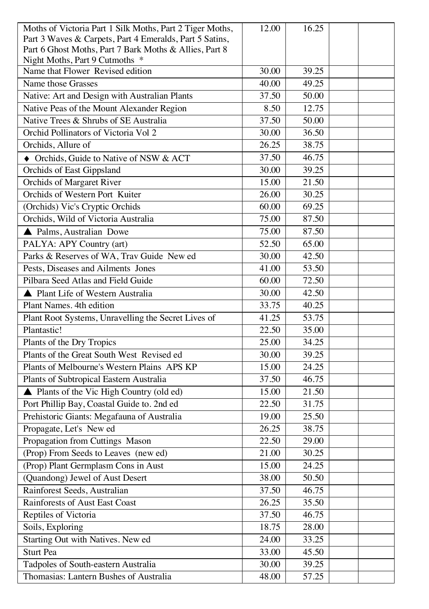| Moths of Victoria Part 1 Silk Moths, Part 2 Tiger Moths,           | 12.00 | 16.25 |  |
|--------------------------------------------------------------------|-------|-------|--|
| Part 3 Waves & Carpets, Part 4 Emeralds, Part 5 Satins,            |       |       |  |
| Part 6 Ghost Moths, Part 7 Bark Moths & Allies, Part 8             |       |       |  |
| Night Moths, Part 9 Cutmoths *<br>Name that Flower Revised edition | 30.00 | 39.25 |  |
| Name those Grasses                                                 | 40.00 | 49.25 |  |
| Native: Art and Design with Australian Plants                      | 37.50 | 50.00 |  |
| Native Peas of the Mount Alexander Region                          | 8.50  | 12.75 |  |
| Native Trees & Shrubs of SE Australia                              | 37.50 | 50.00 |  |
| Orchid Pollinators of Victoria Vol 2                               | 30.00 | 36.50 |  |
| Orchids, Allure of                                                 | 26.25 | 38.75 |  |
| • Orchids, Guide to Native of NSW & ACT                            | 37.50 | 46.75 |  |
| Orchids of East Gippsland                                          | 30.00 | 39.25 |  |
| Orchids of Margaret River                                          | 15.00 | 21.50 |  |
| Orchids of Western Port Kuiter                                     | 26.00 | 30.25 |  |
| (Orchids) Vic's Cryptic Orchids                                    | 60.00 | 69.25 |  |
| Orchids, Wild of Victoria Australia                                | 75.00 | 87.50 |  |
| ▲ Palms, Australian Dowe                                           | 75.00 | 87.50 |  |
| PALYA: APY Country (art)                                           | 52.50 | 65.00 |  |
| Parks & Reserves of WA, Trav Guide New ed                          | 30.00 | 42.50 |  |
| Pests, Diseases and Ailments Jones                                 | 41.00 | 53.50 |  |
| Pilbara Seed Atlas and Field Guide                                 | 60.00 | 72.50 |  |
| ▲ Plant Life of Western Australia                                  | 30.00 | 42.50 |  |
| Plant Names. 4th edition                                           | 33.75 | 40.25 |  |
| Plant Root Systems, Unravelling the Secret Lives of                | 41.25 | 53.75 |  |
| Plantastic!                                                        | 22.50 | 35.00 |  |
| Plants of the Dry Tropics                                          | 25.00 | 34.25 |  |
| Plants of the Great South West Revised ed                          | 30.00 | 39.25 |  |
| Plants of Melbourne's Western Plains APS KP                        | 15.00 | 24.25 |  |
| Plants of Subtropical Eastern Australia                            | 37.50 | 46.75 |  |
| ▲ Plants of the Vic High Country (old ed)                          | 15.00 | 21.50 |  |
| Port Phillip Bay, Coastal Guide to. 2nd ed                         | 22.50 | 31.75 |  |
| Prehistoric Giants: Megafauna of Australia                         | 19.00 | 25.50 |  |
| Propagate, Let's New ed                                            | 26.25 | 38.75 |  |
| Propagation from Cuttings Mason                                    | 22.50 | 29.00 |  |
| (Prop) From Seeds to Leaves (new ed)                               | 21.00 | 30.25 |  |
| (Prop) Plant Germplasm Cons in Aust                                | 15.00 | 24.25 |  |
| (Quandong) Jewel of Aust Desert                                    | 38.00 | 50.50 |  |
| Rainforest Seeds, Australian                                       | 37.50 | 46.75 |  |
| Rainforests of Aust East Coast                                     | 26.25 | 35.50 |  |
| Reptiles of Victoria                                               | 37.50 | 46.75 |  |
| Soils, Exploring                                                   | 18.75 | 28.00 |  |
| Starting Out with Natives. New ed                                  | 24.00 | 33.25 |  |
| Sturt Pea                                                          | 33.00 | 45.50 |  |
| Tadpoles of South-eastern Australia                                | 30.00 | 39.25 |  |
| Thomasias: Lantern Bushes of Australia                             | 48.00 | 57.25 |  |